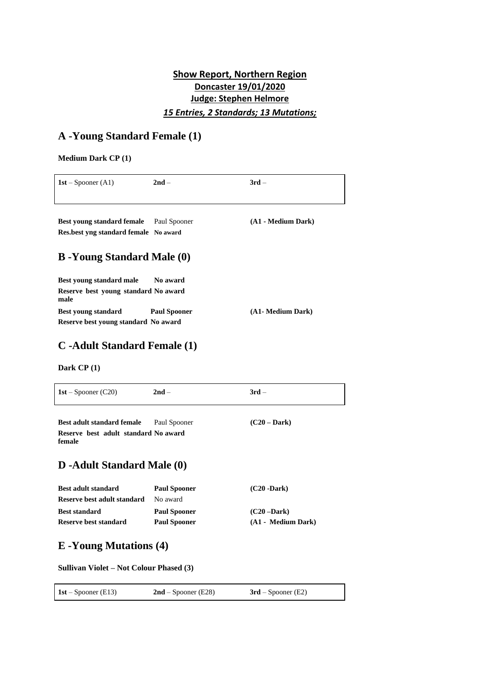## **Show Report, Northern Region Doncaster 19/01/2020 Judge: Stephen Helmore** *15 Entries, 2 Standards; 13 Mutations;*

# **A -Young Standard Female (1)**

### **Medium Dark CP (1)**

| $1st - Spooner(A1)$                                                        | $2nd -$             | $3rd -$            |
|----------------------------------------------------------------------------|---------------------|--------------------|
|                                                                            |                     |                    |
| <b>Best young standard female</b><br>Res.best yng standard female No award | Paul Spooner        | (A1 - Medium Dark) |
| <b>B</b> -Young Standard Male (0)                                          |                     |                    |
| <b>Best young standard male</b>                                            | No award            |                    |
| Reserve best young standard No award<br>male                               |                     |                    |
| <b>Best young standard</b>                                                 | <b>Paul Spooner</b> | (A1- Medium Dark)  |
| Reserve best young standard No award                                       |                     |                    |

# **C -Adult Standard Female (1)**

**Dark CP (1)**

| $1st - Spooner (C20)$                                                               | $2nd -$                                    | $3rd -$                              |
|-------------------------------------------------------------------------------------|--------------------------------------------|--------------------------------------|
| <b>Best adult standard female</b><br>Reserve best adult standard No award<br>female | Paul Spooner                               | $(C20 - Dark)$                       |
| <b>D</b> -Adult Standard Male (0)                                                   |                                            |                                      |
| <b>Best adult standard</b><br>Reserve best adult standard                           | <b>Paul Spooner</b><br>No award            | $(C20 - Dark)$                       |
| <b>Best standard</b><br>Reserve best standard                                       | <b>Paul Spooner</b><br><b>Paul Spooner</b> | $(C20 - Dark)$<br>(A1 - Medium Dark) |

# **E -Young Mutations (4)**

**Sullivan Violet – Not Colour Phased (3)**

| 1st – Spooner (E13) | $2nd$ – Spooner (E28) | $3rd$ – Spooner (E2) |
|---------------------|-----------------------|----------------------|
|---------------------|-----------------------|----------------------|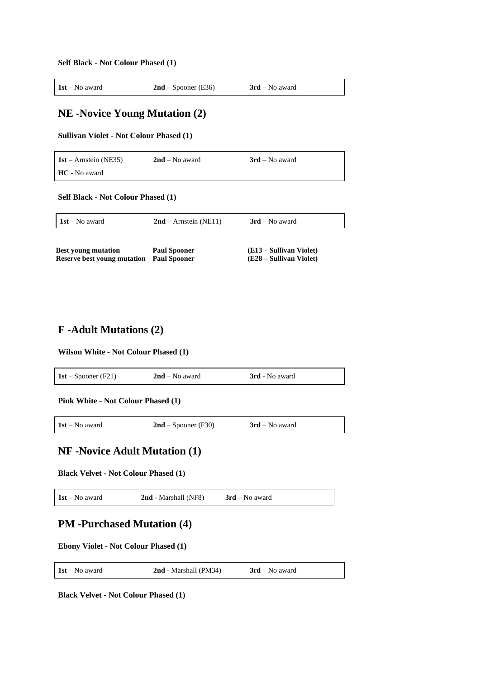**Self Black - Not Colour Phased (1)**

| $1st - No$ award<br>$2nd$ – Spooner (E36)<br>$3rd$ – No award |  |
|---------------------------------------------------------------|--|
|---------------------------------------------------------------|--|

## **NE -Novice Young Mutation (2)**

**Sullivan Violet - Not Colour Phased (1)**

**1st** – Arnstein (NE35) **2nd** – No award **3rd** – No award **HC** - No award

**Self Black - Not Colour Phased (1)**

| $1st - No$ award                                                       | $2nd$ – Arnstein (NE11) | $3rd$ – No award                                   |
|------------------------------------------------------------------------|-------------------------|----------------------------------------------------|
| <b>Best voung mutation</b><br>Reserve best voung mutation Paul Spooner | <b>Paul Spooner</b>     | (E13 – Sullivan Violet)<br>(E28 – Sullivan Violet) |

## **F -Adult Mutations (2)**

#### **Wilson White - Not Colour Phased (1)**

| 1st – Spooner (F21) | $2nd$ – No award | 3rd - No award |
|---------------------|------------------|----------------|
|                     |                  |                |

**Pink White - Not Colour Phased (1)**

**1st** – No award **2nd** – Spooner (F30) **3rd** – No award

### **NF -Novice Adult Mutation (1)**

**Black Velvet - Not Colour Phased (1)**

**1st** – No award **2nd** - Marshall (NF8) **3rd** – No award

### **PM -Purchased Mutation (4)**

**Ebony Violet - Not Colour Phased (1)**

**1st** – No award **2nd** - Marshall (PM34) **3rd** – No award

**Black Velvet - Not Colour Phased (1)**